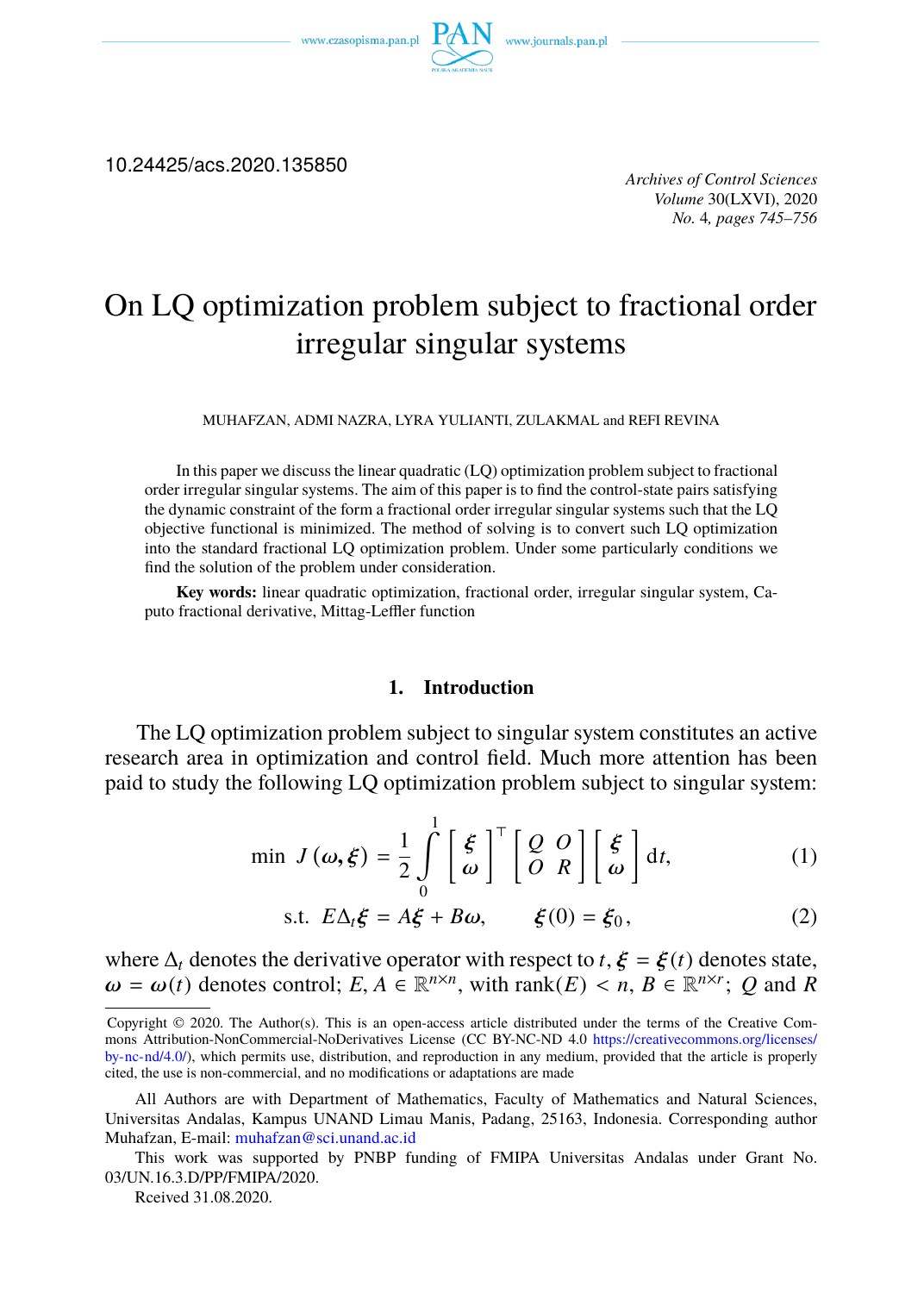

10.24425/acs.2020.135850

*Archives of Control Sciences Volume* 30(LXVI), 2020 *No.* 4*, pages 745–756*

# On LQ optimization problem subject to fractional order irregular singular systems

MUHAFZAN, ADMI NAZRA, LYRA YULIANTI, ZULAKMAL and REFI REVINA

In this paper we discuss the linear quadratic (LQ) optimization problem subject to fractional order irregular singular systems. The aim of this paper is to find the control-state pairs satisfying the dynamic constraint of the form a fractional order irregular singular systems such that the LQ objective functional is minimized. The method of solving is to convert such LQ optimization into the standard fractional LQ optimization problem. Under some particularly conditions we find the solution of the problem under consideration.

**Key words:** linear quadratic optimization, fractional order, irregular singular system, Caputo fractional derivative, Mittag-Leffler function

#### <span id="page-0-0"></span>**1. Introduction**

The LQ optimization problem subject to singular system constitutes an active research area in optimization and control field. Much more attention has been paid to study the following LQ optimization problem subject to singular system:

$$
\min J(\omega, \xi) = \frac{1}{2} \int_{0}^{1} \left[ \frac{\xi}{\omega} \right]^{T} \left[ \frac{Q}{O} \frac{O}{R} \right] \left[ \frac{\xi}{\omega} \right] dt, \tag{1}
$$

s.t. 
$$
E\Delta_t \xi = A\xi + B\omega
$$
,  $\xi(0) = \xi_0$ , (2)

where  $\Delta_t$  deno[tes the derivative ope](mailto:muhafzan@sci.unand.ac.id)rator with respect to  $t$ ,  $\xi = \xi(t)$  denotes state,  $\omega = \omega(t)$  denotes control;  $E, A \in \mathbb{R}^{n \times n}$ , with rank $(E) < n, B \in \mathbb{R}^{n \times r}$ ; Q and R

Rceived 31.08.2020.

Copyright © 2020. The Author(s). This is an open-access article distributed under the terms of the Creative Commons Attribution-NonCommercial-NoDerivatives License (CC BY-NC-ND 4.0 https://creativecommons.org/licenses/ by-nc-nd/4.0/), which permits use, distribution, and reproduction in any medium, provided that the article is properly cited, the use is non-commercial, and no modifications or adaptations are made

All Authors are with Department of Mathematics, Faculty of Mathematics and Natural Sciences, Universitas Andalas, Kampus UNAND Limau Manis, Padang, 25163, Indonesia. Corresponding author Muhafzan, E-mail: muhafzan@sci.unand.ac.id

This work was supported by PNBP funding of FMIPA Universitas Andalas under Grant No. 03/UN.16.3.D/PP/FMIPA/2020.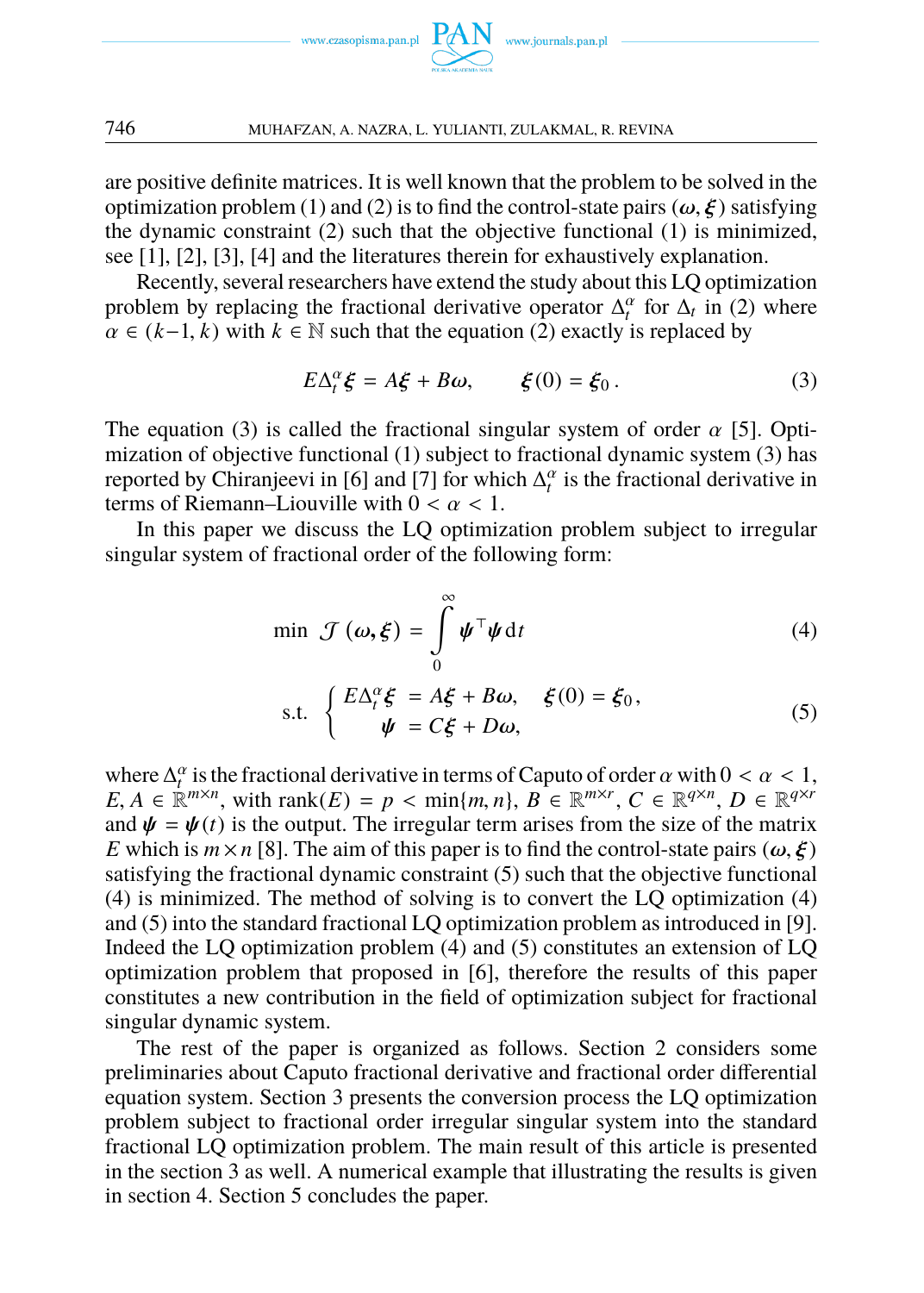<span id="page-1-0"></span>

are positive definite matrices. It is well known that the problem to be solved in the optimization problem (1) and (2) is to find the control-state pairs ( $\omega$ ,  $\xi$ ) satisfying the dynamic constraint (2) such that the objective functional (1) is minimized, see [1], [2], [3][, \[](#page-1-0)4] and the literatures therein for exhaustively explanat[io](#page-11-0)n.

Recently, several researchers [hav](#page-0-0)e extend the study about this LQ optimi[za](#page-1-0)tion problem by replacing the f[ra](#page-11-1)ction[al](#page-11-2) derivative operator  $\Delta_t^{\alpha}$  for  $\Delta_t$  in (2) where  $\alpha \in (k-1, k)$  with  $k \in \mathbb{N}$  such that the equation (2) exactly is replaced by

<span id="page-1-2"></span><span id="page-1-1"></span>
$$
E\Delta_t^{\alpha}\xi = A\xi + B\omega, \qquad \xi(0) = \xi_0.
$$
 (3)

The equation (3) is called the fractional singular system of order  $\alpha$  [5]. Optimization of objective functional (1) subject to fractional dynamic system (3) has reported by Chiranjeevi in [6] and [7] for which  $\Delta_t^{\alpha}$  is the fractional derivative in terms of Riemann–Liouville with  $0 < \alpha < 1$ .

In this paper we discuss the LQ optimization problem subject to irregular singular system of fractional order of the following form:

$$
\min \mathcal{J}(\boldsymbol{\omega}, \boldsymbol{\xi}) = \int_{0}^{\infty} \boldsymbol{\psi}^{\top} \boldsymbol{\psi} \, dt \tag{4}
$$

s.t. 
$$
\begin{cases} E\Delta_t^{\alpha}\xi = A\xi + B\omega, & \xi(0) = \xi_0, \\ \psi = C\xi + D\omega, \end{cases}
$$
 (5)

where  $\Delta_t^{\alpha}$  is the fractional derivative in [ter](#page-1-2)ms of [C](#page-1-1)aputo of order  $\alpha$  with  $0 < \alpha < 1$ ,  $E, A \in \mathbb{R}^{m \times n}$  $E, A \in \mathbb{R}^{m \times n}$  $E, A \in \mathbb{R}^{m \times n}$ , with rank $(E) = p < \min\{m, n\}$ ,  $B \in \mathbb{R}^{m \times r}$ ,  $C \in \mathbb{R}^{q \times n}$ ,  $D \in \mathbb{R}^{q \times r}$ and  $\psi = \psi(t)$  is the output. The irregular term arises from the size of the matrix *E* which is  $m \times n$  [8]. The aim of this paper is to find the control-state pairs ( $\omega, \xi$ ) satisfying the fractional dynamic constraint (5) such that the objective functional (4) is minimized. The method of solving is to convert the LQ optimization (4) and (5) into the standard fractional LQ optimization problem as introduced in [9]. Indeed the LQ optimization problem (4) and (5) constitutes an extension of LQ optimization problem that proposed in [6], therefore the results of this paper constitutes a new contribution in the field of optimization subject for fractional singular dynamic system.

The rest of the paper is organized as follows. Section 2 considers some preliminaries about Caputo fractional derivative and fractional order differential equation system. Section 3 presents the conversion process the LQ optimization problem subject to fractional order irregular singular system into the standard fractional LQ optimization problem. The main result of this article is presented in the section 3 as well. A numerical example that illustrating the results is given in section 4. Section 5 concludes the paper.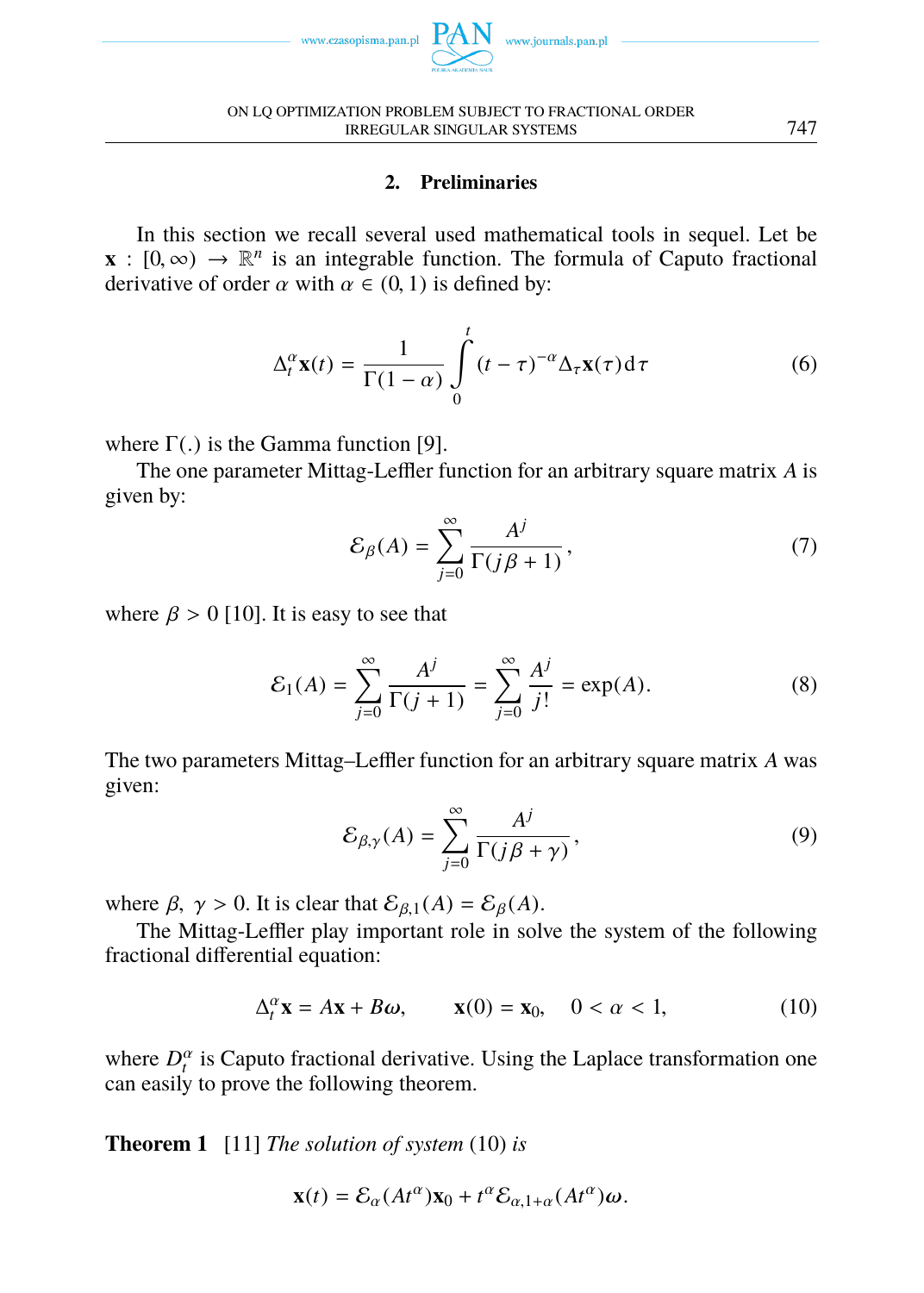

ON LQ OPTIMIZATION PROBLEM SUBJECT TO FRACTIONAL ORDER IRREGULAR SINGULAR SYSTEMS 747

## **2. Preliminaries**

In this section we recall several used mathematical tools in sequel. Let be **x** :  $[0, \infty) \rightarrow \mathbb{R}^n$  is an integrable [fu](#page-11-3)nction. The formula of Caputo fractional derivative of order  $\alpha$  with  $\alpha \in (0, 1)$  is defined by:

$$
\Delta_t^{\alpha} \mathbf{x}(t) = \frac{1}{\Gamma(1-\alpha)} \int_0^t (t-\tau)^{-\alpha} \Delta_\tau \mathbf{x}(\tau) d\tau
$$
 (6)

where  $\Gamma(.)$  is [the](#page-11-4) Gamma function [9].

The one parameter Mittag-Leffler function for an arbitrary square matrix *A* is given by:

$$
\mathcal{E}_{\beta}(A) = \sum_{j=0}^{\infty} \frac{A^j}{\Gamma(j\beta + 1)},\tag{7}
$$

where  $\beta > 0$  [10]. It is easy to see that

$$
\mathcal{E}_1(A) = \sum_{j=0}^{\infty} \frac{A^j}{\Gamma(j+1)} = \sum_{j=0}^{\infty} \frac{A^j}{j!} = \exp(A). \tag{8}
$$

The two parameters Mittag–Leffler function for an arbitrary square matrix *A* was given:

$$
\mathcal{E}_{\beta,\gamma}(A) = \sum_{j=0}^{\infty} \frac{A^j}{\Gamma(j\beta + \gamma)},
$$
\n(9)

where  $\beta$ ,  $\gamma > 0$ . It is clear that  $\mathcal{E}_{\beta,1}(A) = \mathcal{E}_{\beta}(A)$ .

<span id="page-2-0"></span>The Mittag-Leffler play important role in solve the system of the following fractional diff[ere](#page-11-5)ntial equation:

$$
\Delta_t^{\alpha} \mathbf{x} = A\mathbf{x} + B\omega, \qquad \mathbf{x}(0) = \mathbf{x}_0, \quad 0 < \alpha < 1,\tag{10}
$$

where  $D_t^{\alpha}$  is Caputo fractional derivative. Using the Laplace transformation one can easily to prove the following theorem.

**Theorem 1** [11] *The solution of system* (10) *is*

$$
\mathbf{x}(t) = \mathcal{E}_{\alpha}(At^{\alpha})\mathbf{x}_0 + t^{\alpha}\mathcal{E}_{\alpha,1+\alpha}(At^{\alpha})\boldsymbol{\omega}.
$$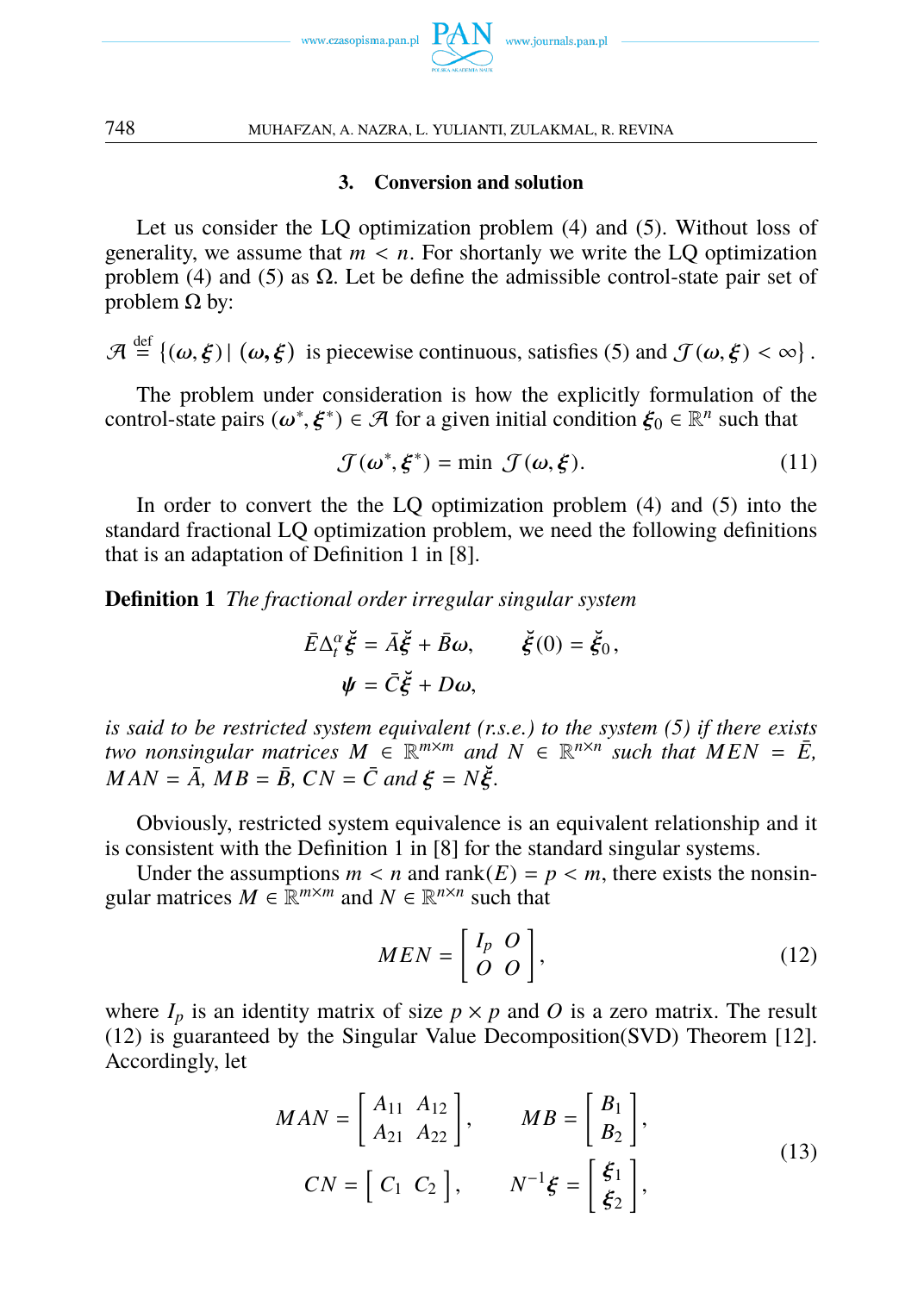

#### **3. Conversion and solution**

Let us consider the LQ optimization problem (4) and (5). Without loss of generality, we assume that  $m < n$ . For shortanly we write the LQ optimization problem (4) and (5) as  $\Omega$ . Let be define the admissible control-state pair set of problem  $Ω$  by:

 $\mathcal{A} \stackrel{\text{def}}{=} \{(\omega,\xi) | (\omega,\xi) \text{ is piecewise continuous, satisfies (5) and } \mathcal{J}(\omega,\xi) < \infty \}.$ 

The problem under consideration is how the explicitly formulation of the control-state pairs  $(\omega^*, \xi^*) \in \mathcal{A}$  for a given initial condition  $\xi_0 \in \mathbb{R}^n$  such that

$$
\mathcal{J}(\omega^*, \xi^*) = \min \mathcal{J}(\omega, \xi). \tag{11}
$$

In order to convert the the LQ optimization problem (4) and (5) into the standard fractional LQ optimization problem, we need the foll[ow](#page-1-1)ing definitions that is an adaptation of Definition 1 in [8].

**Definition 1** *The fractional order irregular singular system*

<span id="page-3-0"></span>
$$
\bar{E}\Delta_t^{\alpha}\breve{\xi} = \bar{A}\breve{\xi} + \bar{B}\omega, \qquad \breve{\xi}(0) = \breve{\xi}_0,
$$
  

$$
\psi = \bar{C}\breve{\xi} + D\omega,
$$

*is said to be restricted system equivalent (r.s.e.) to the system (5) if there exists two nonsingular matrices*  $M \in \mathbb{R}^{m \times m}$  and  $N \in \mathbb{R}^{n \times n}$  such that  $MEN = \overline{E}$ ,  $MAN = \overrightarrow{A}$ ,  $MB = \overrightarrow{B}$ ,  $CN = \overrightarrow{C}$  and  $\xi = N\overrightarrow{\xi}$ .

Obviously, restricted system equivalence is an equivalent relationship and it i[s c](#page-3-0)onsistent with the Definition 1 in [8] for the standard singular systems.

Under the assumptions  $m < n$  and rank( $E$ ) =  $p < m$ , there exists the nonsingular matrices  $M \in \mathbb{R}^{m \times m}$  and  $N \in \mathbb{R}^{n \times n}$  such that

$$
MEN = \begin{bmatrix} I_p & O \\ O & O \end{bmatrix},\tag{12}
$$

<span id="page-3-1"></span>where  $I_p$  is an identity matrix of size  $p \times p$  and O is a zero matrix. The result (12) is guaranteed by the Singular Value Decomposition(SVD) Theorem [12]. Accordingly, let

$$
MAN = \begin{bmatrix} A_{11} & A_{12} \\ A_{21} & A_{22} \end{bmatrix}, \qquad MB = \begin{bmatrix} B_1 \\ B_2 \end{bmatrix},
$$
  
\n
$$
CN = \begin{bmatrix} C_1 & C_2 \end{bmatrix}, \qquad N^{-1}\xi = \begin{bmatrix} \xi_1 \\ \xi_2 \end{bmatrix},
$$
\n(13)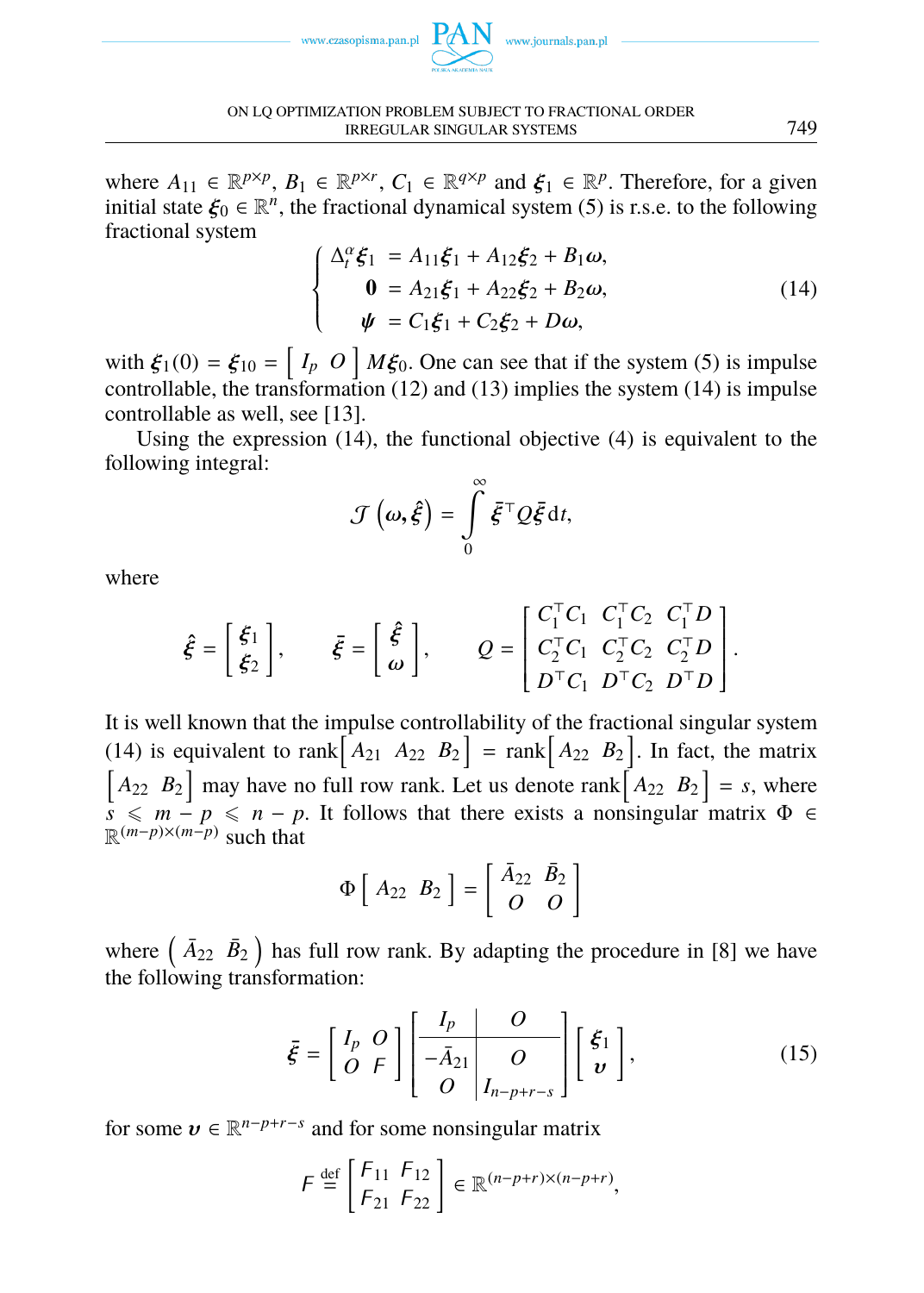<span id="page-4-0"></span>

ON LQ OPTIMIZATION PROBLEM SUBJECT TO FRACTIONAL ORDER IRREGULAR SINGULAR SYSTEMS 749

where  $A_{11} \in \mathbb{R}^{p \times p}$ ,  $B_1 \in \mathbb{R}^{p \times r}$ ,  $C_1 \in \mathbb{R}^{q \times p}$  and  $\xi_1 \in \mathbb{R}^p$ . Therefor[e,](#page-1-1) for a given initial state  $\xi_0 \in \mathbb{R}^n$ , the fraction[al d](#page-3-0)ynam[ical](#page-3-1) system (5) is r.s.e. t[o th](#page-4-0)e following fractional system

$$
\begin{cases}\n\Delta_t^{\alpha} \xi_1 = A_{11} \xi_1 + A_{12} \xi_2 + B_1 \omega, \n\mathbf{0} = A_{21} \xi_1 + A_{22} \xi_2 + B_2 \omega, \n\psi = C_1 \xi_1 + C_2 \xi_2 + D \omega,\n\end{cases} (14)
$$

with  $\xi_1(0) = \xi_{10} = \begin{bmatrix} I_p & O \end{bmatrix} M \xi_0$ . One can see that if the system (5) is impulse controllable, the transformation (12) and (13) implies the system (14) is impulse controllable as well, see [13].

Using the expression (14), the functional objective (4) is equivalent to the following integral:

$$
\mathcal{J}\left(\boldsymbol{\omega},\boldsymbol{\hat{\xi}}\right)=\int\limits_{0}^{\infty}\boldsymbol{\bar{\xi}}^{\top}Q\boldsymbol{\bar{\xi}}\,\mathrm{d}t,
$$

[whe](#page-4-0)re

$$
\hat{\xi} = \begin{bmatrix} \xi_1 \\ \xi_2 \end{bmatrix}, \qquad \bar{\xi} = \begin{bmatrix} \hat{\xi} \\ \omega \end{bmatrix}, \qquad Q = \begin{bmatrix} C_1^\top C_1 & C_1^\top C_2 & C_1^\top D \\ C_2^\top C_1 & C_2^\top C_2 & C_2^\top D \\ D^\top C_1 & D^\top C_2 & D^\top D \end{bmatrix}.
$$

It is well known that the impulse controllability of the fractional singular system (14) is equivalent to rank $\begin{bmatrix} A_{21} & A_{22} & B_2 \end{bmatrix}$  = rank $\begin{bmatrix} A_{22} & B_2 \end{bmatrix}$ . In fact, the matrix  $\begin{bmatrix} A_{22} & B_2 \end{bmatrix}$  may have no full row rank. Let us denote rank  $\begin{bmatrix} A_{22} & B_2 \end{bmatrix} = s$  $\begin{bmatrix} A_{22} & B_2 \end{bmatrix} = s$  $\begin{bmatrix} A_{22} & B_2 \end{bmatrix} = s$ , where  $s \leq m - p \leq n - p$ . It follows that there exists a nonsingular matrix  $\Phi \in$  $\mathbb{R}^{(m-p)\times(m-p)}$  such that

<span id="page-4-1"></span>
$$
\Phi\left[\begin{array}{cc}A_{22} & B_2 \end{array}\right] = \left[\begin{array}{cc} \bar{A}_{22} & \bar{B}_2 \\ O & O \end{array}\right]
$$

where  $(\bar{A}_{22} \ \bar{B}_2)$  has full row rank. By adapting the procedure in [8] we have the following transformation:

$$
\bar{\xi} = \begin{bmatrix} I_p & O \\ O & F \end{bmatrix} \begin{bmatrix} I_p & O \\ -\bar{A}_{21} & O \\ O & I_{n-p+r-s} \end{bmatrix} \begin{bmatrix} \xi_1 \\ v \end{bmatrix},
$$
(15)

for some  $v \in \mathbb{R}^{n-p+r-s}$  and for some nonsingular matrix

$$
F \stackrel{\text{def}}{=} \begin{bmatrix} F_{11} & F_{12} \\ F_{21} & F_{22} \end{bmatrix} \in \mathbb{R}^{(n-p+r)\times(n-p+r)},
$$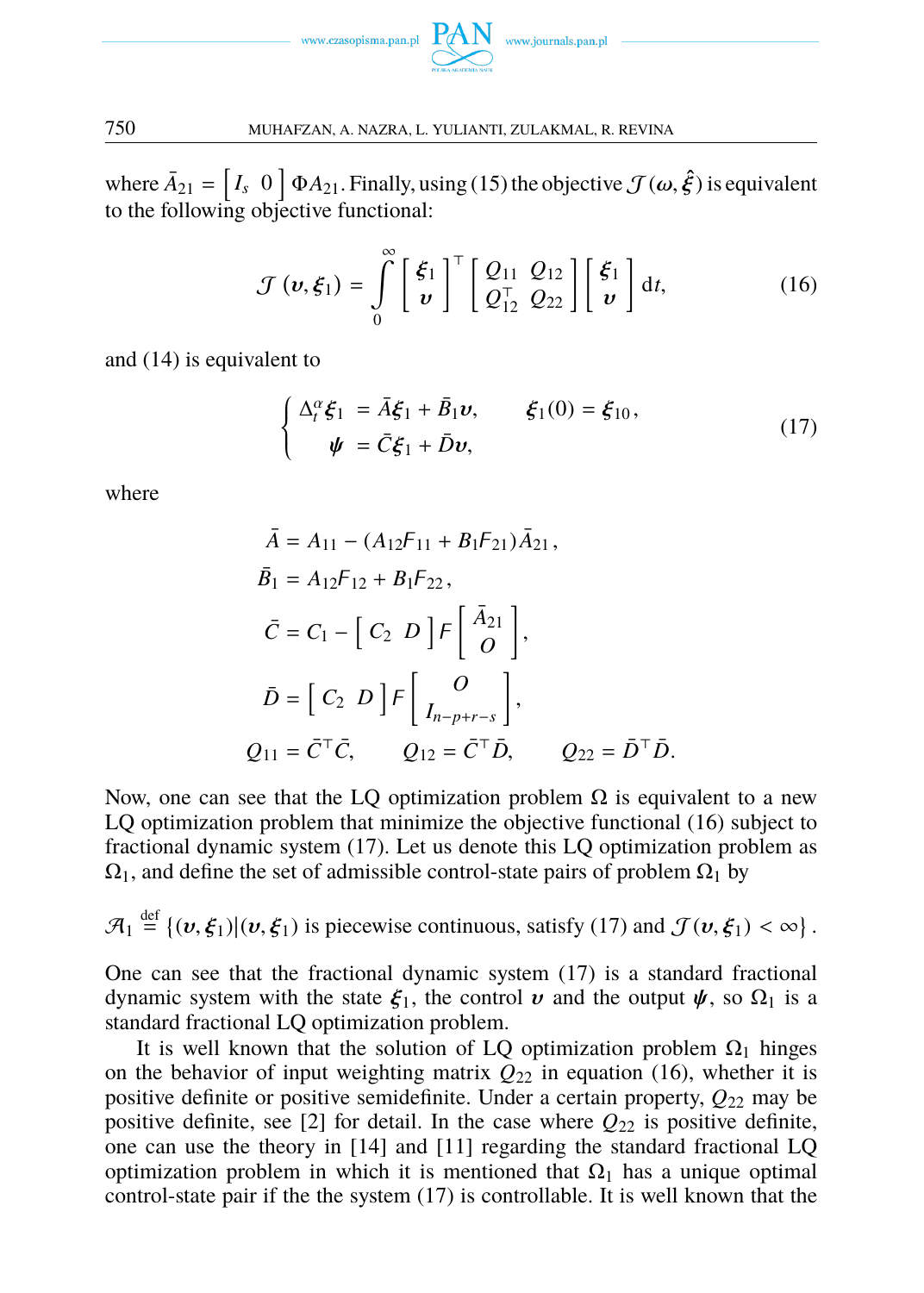<span id="page-5-1"></span>

wh[e](#page-4-0)re  $\bar{A}_{21}$  =  $[I_s \ 0 \ 1 \Phi A_{21}$ . Finally, using (15) the objective  $\mathcal{J}(\omega, \hat{\xi})$  is equivalent to the following objective functional:

<span id="page-5-0"></span>
$$
\mathcal{J}(\boldsymbol{v},\boldsymbol{\xi}_1) = \int\limits_0^\infty \left[ \frac{\boldsymbol{\xi}_1}{\boldsymbol{v}} \right]^\top \left[ \frac{Q_{11}}{Q_{12}^\top} \frac{Q_{12}}{Q_{22}} \right] \left[ \frac{\boldsymbol{\xi}_1}{\boldsymbol{v}} \right] dt, \tag{16}
$$

and (14) is equivalent to

$$
\begin{cases}\n\Delta_t^{\alpha}\xi_1 = \bar{A}\xi_1 + \bar{B}_1\boldsymbol{v}, & \xi_1(0) = \xi_{10}, \\
\boldsymbol{\psi} = \bar{C}\xi_1 + \bar{D}\boldsymbol{v},\n\end{cases}
$$
\n(17)

where

$$
\bar{A} = A_{11} - (A_{12}F_{11} + B_1F_{21})\bar{A}_{21},
$$
\n
$$
\bar{B}_1 = A_{12}F_{12} + B_1F_{22},
$$
\n
$$
\bar{C} = C_1 - [C_2 \ D]F\begin{bmatrix} \bar{A}_{21} \\ O \end{bmatrix},
$$
\n
$$
\bar{D} = [C_2 \ D]F\begin{bmatrix} O \\ I_{n-p+r-s} \end{bmatrix},
$$
\n
$$
Q_{11} = \bar{C}^\top \bar{C}, \qquad Q_{12} = \bar{C}^\top \bar{D}, \qquad Q_{22} = \bar{D}^\top \bar{D}.
$$

Now, one can see that the LQ opti[m](#page-5-0)ization problem  $\Omega$  is equivalent to a new LQ optimization problem that minimize the objective functional (16) subject to fractional dynamic system (17). Let us denote this LQ optimization problem as  $\Omega_1$ , and define the set of admissible control-state pairs of prob[lem](#page-5-1)  $\Omega_1$  by

$$
\mathcal{A}_1 \stackrel{\text{def}}{=} \{(\boldsymbol{v},\boldsymbol{\xi}_1)|(\boldsymbol{v},\boldsymbol{\xi}_1) \text{ is piecewise continuous, satisfy (17) and } \mathcal{J}(\boldsymbol{v},\boldsymbol{\xi}_1) < \infty\}.
$$

One can see that the fracti[ona](#page-11-7)l dyn[ami](#page-11-5)c system (17) is a standard fractional dynamic system with the state  $\xi_1$ , the control v and the output  $\psi$ , so  $\Omega_1$  is a standard fractional LQ optimization [pr](#page-5-0)oblem.

It is well known that the solution of LQ optimization problem  $\Omega_1$  hinges on the behavior of input weighting matrix  $Q_{22}$  in equation (16), whether it is positive definite or positive semidefinite. Under a certain property, *Q*<sup>22</sup> may be positive definite, see [2] for detail. In the case where  $Q_{22}$  is positive definite, one can use the theory in [14] and [11] regarding the standard fractional LQ optimization problem in which it is mentioned that  $\Omega_1$  has a unique optimal control-state pair if the the system (17) is controllable. It is well known that the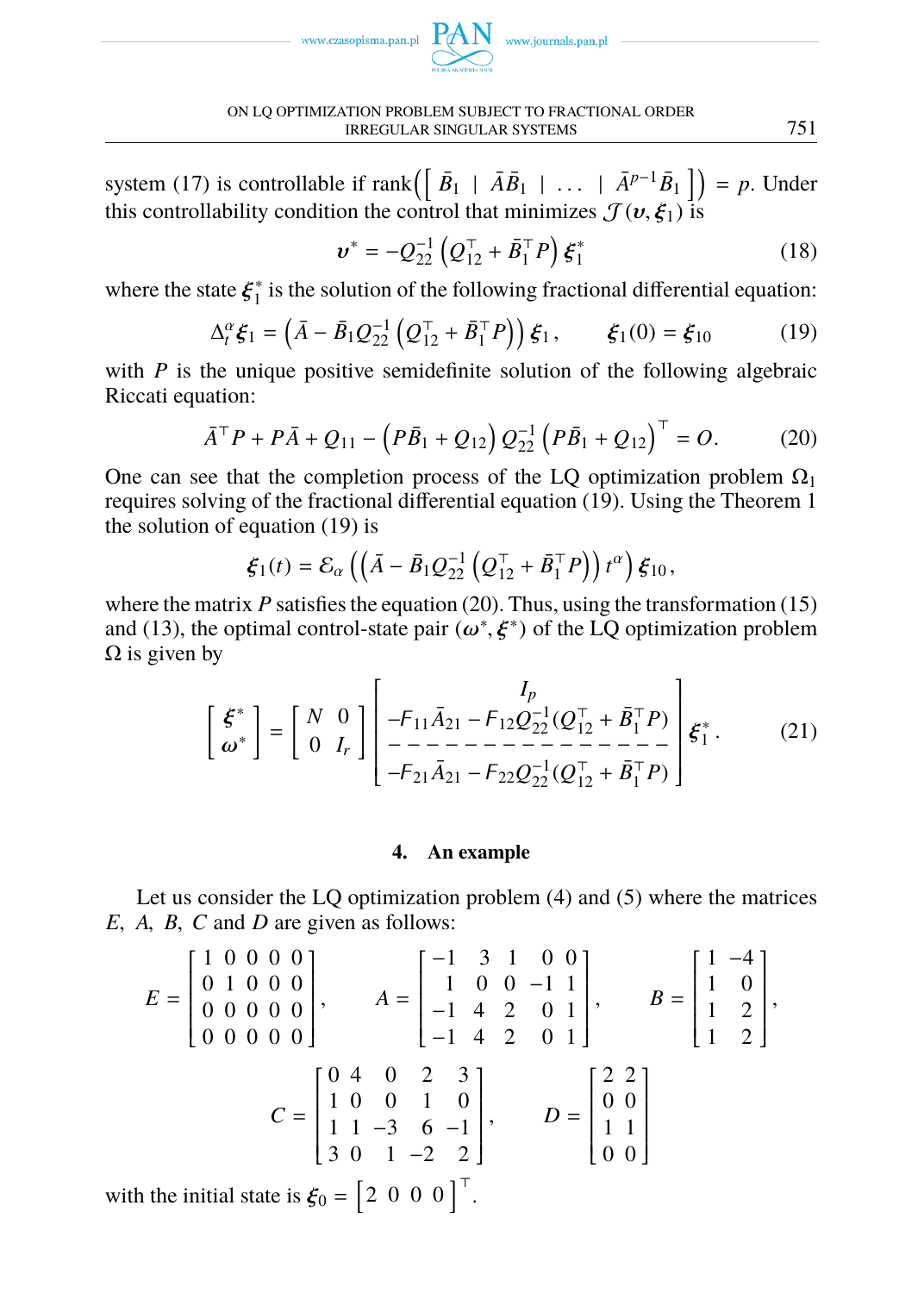

<span id="page-6-0"></span>ON LQ OPTIMIZATION PROBLEM SUBJECT TO FRACTIONAL ORDER IRREGULAR SINGULAR SYSTEMS 751

system (17) is controllable if rank $\left( \begin{bmatrix} \bar{B}_1 + \bar{A}\bar{B}_1 + \cdots + \bar{A}^{p-1}\bar{B}_1 \end{bmatrix} \right) = p$ . Under this controllability condition the control that minimizes  $\mathcal{J}(v, \xi_1)$  is

$$
v^* = -Q_{22}^{-1} \left( Q_{12}^\top + \bar{B}_1^\top P \right) \xi_1^* \tag{18}
$$

where the state  $\xi_1^*$  $i<sub>1</sub>$  is the solution of the following fractional differential equation:

<span id="page-6-1"></span>
$$
\Delta_t^{\alpha} \xi_1 = (\bar{A} - \bar{B}_1 Q_{22}^{-1} (Q_{12}^\top + \bar{B}_1^\top P)) \xi_1, \qquad \xi_1(0) = \xi_{10} \tag{19}
$$

with *P* is the unique positive semidefinite solution of the following algebraic Riccati equation:

$$
\bar{A}^{\top} P + P \bar{A} + Q_{11} - \left( P \bar{B}_1 + Q_{12} \right) Q_{22}^{-1} \left( P \bar{B}_1 + Q_{12} \right)^{\top} = O. \tag{20}
$$

One can see that the completion process of the LQ optimization problem  $\Omega_1$ requires solving of the fractional differential equation (19). Using the Theorem 1 the solution of equation (19) is

$$
\boldsymbol{\xi}_1(t)=\mathcal{E}_{\alpha}\left(\left(\bar{A}-\bar{B}_1Q_{22}^{-1}\left(Q_{12}^\top+\bar{B}_1^\top P\right)\right)t^{\alpha}\right)\boldsymbol{\xi}_{10},
$$

where the matrix  $P$  satisfies the equation (20). Thus, using the transformation (15) and (13), the optimal control-state pair  $(\omega^*, \xi^*)$  of the LQ optimization problem  $\Omega$  is given by

[ ξ ∗ ω∗ ] = [ *N* 0 0 *I<sup>r</sup>* ] *Ip* −11*A*¯ <sup>21</sup> − 12*Q* −1 <sup>22</sup> [\(](#page-1-2)*Q* ⊤ <sup>12</sup> <sup>+</sup> *[B](#page-1-1)*¯<sup>⊤</sup> 1 *P*) − − − − − − − − − − − − − − − −21*A*¯ <sup>21</sup> − 22*Q* −1 <sup>22</sup> (*Q* ⊤ <sup>12</sup> <sup>+</sup> *<sup>B</sup>*¯<sup>⊤</sup> 1 *P*) ξ ∗ 1 . (21)

# **4. An example**

Let us consider the LQ optimization problem (4) and (5) where the matrices *E*, *A*, *B*, *C* and *D* are given as follows:

$$
E = \begin{bmatrix} 1 & 0 & 0 & 0 & 0 \\ 0 & 1 & 0 & 0 & 0 \\ 0 & 0 & 0 & 0 & 0 \\ 0 & 0 & 0 & 0 & 0 \end{bmatrix}, \qquad A = \begin{bmatrix} -1 & 3 & 1 & 0 & 0 \\ 1 & 0 & 0 & -1 & 1 \\ -1 & 4 & 2 & 0 & 1 \\ -1 & 4 & 2 & 0 & 1 \end{bmatrix}, \qquad B = \begin{bmatrix} 1 & -4 \\ 1 & 0 \\ 1 & 2 \\ 1 & 2 \end{bmatrix},
$$

$$
C = \begin{bmatrix} 0 & 4 & 0 & 2 & 3 \\ 1 & 0 & 0 & 1 & 0 \\ 1 & 1 & -3 & 6 & -1 \\ 3 & 0 & 1 & -2 & 2 \end{bmatrix}, \qquad D = \begin{bmatrix} 2 & 2 \\ 0 & 0 \\ 1 & 1 \\ 0 & 0 \end{bmatrix}
$$

with the initial state is  $\xi_0 = \begin{bmatrix} 2 & 0 & 0 & 0 \end{bmatrix}^\top$ .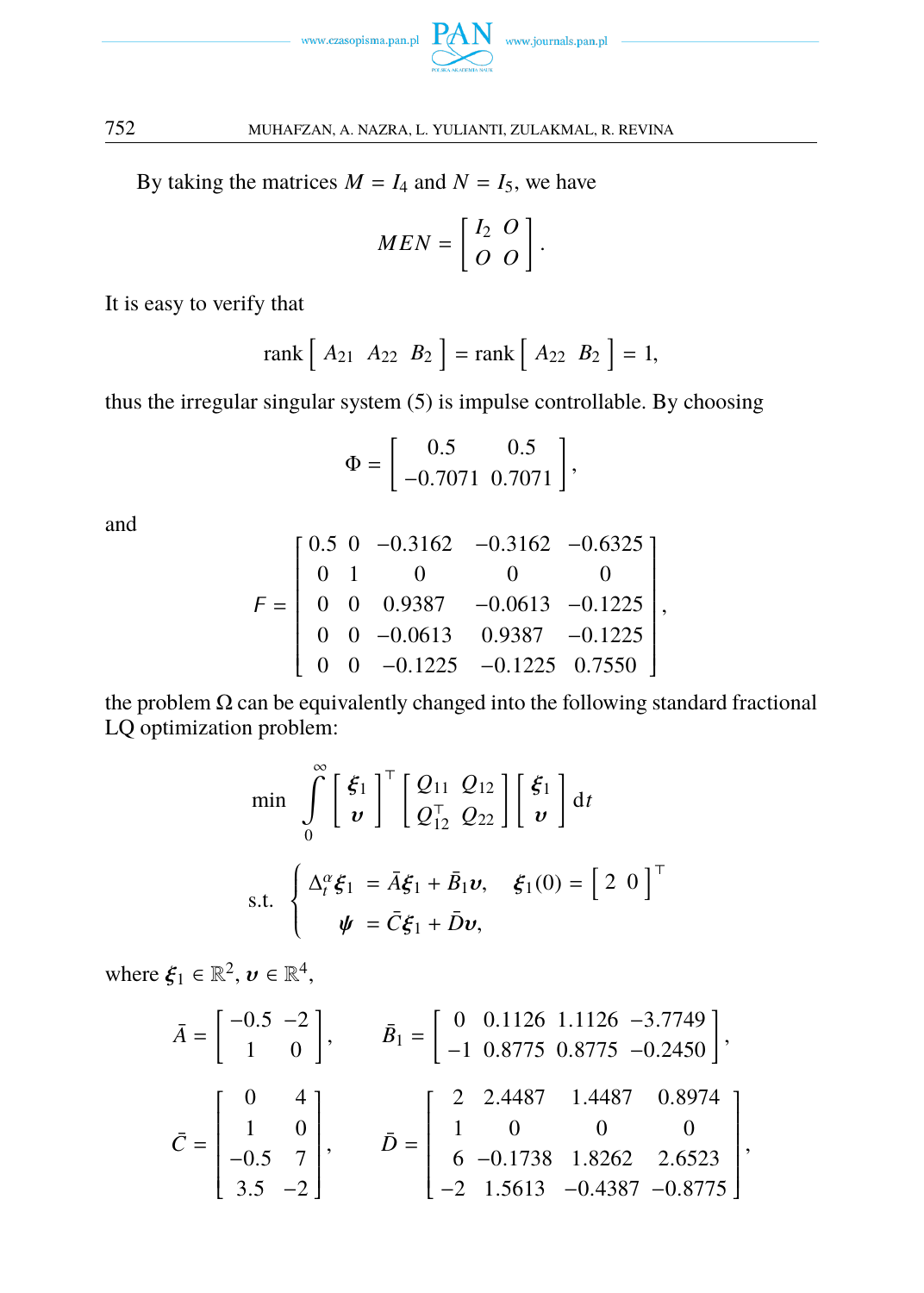

By taking the matrices  $M = I_4$  and  $N = I_5$ , we have

$$
MEN = \left[ \begin{array}{cc} I_2 & O \\ O & O \end{array} \right].
$$

It is easy to verify that

$$
rank [A_{21} A_{22} B_2] = rank [A_{22} B_2] = 1,
$$

thus the irregular singular system (5) is impulse controllable. By choosing

$$
\Phi = \left[ \begin{array}{cc} 0.5 & 0.5 \\ -0.7071 & 0.7071 \end{array} \right],
$$

and

$$
F = \begin{bmatrix} 0.5 & 0 & -0.3162 & -0.3162 & -0.6325 \\ 0 & 1 & 0 & 0 & 0 \\ 0 & 0 & 0.9387 & -0.0613 & -0.1225 \\ 0 & 0 & -0.0613 & 0.9387 & -0.1225 \\ 0 & 0 & -0.1225 & -0.1225 & 0.7550 \end{bmatrix},
$$

the problem  $\Omega$  can be equivalently changed into the following standard fractional LQ optimization problem:

$$
\begin{aligned}\n\min \quad & \int_{0}^{\infty} \left[ \frac{\xi_{1}}{v} \right]^{\top} \left[ \frac{Q_{11}}{Q_{12}^{\top}} \frac{Q_{12}}{Q_{22}} \right] \left[ \frac{\xi_{1}}{v} \right] \mathrm{d}t \\
\text{s.t.} \quad & \left\{ \frac{\Delta_{t}^{\alpha} \xi_{1} = \bar{A} \xi_{1} + \bar{B}_{1} v, \quad \xi_{1}(0) = \left[ \begin{array}{cc} 2 & 0 \end{array} \right]^{\top} \\
\psi = \bar{C} \xi_{1} + \bar{D} v,\n\end{aligned}
$$

where  $\xi_1 \in \mathbb{R}^2$ ,  $\boldsymbol{\nu} \in \mathbb{R}^4$ ,

$$
\bar{A} = \begin{bmatrix} -0.5 & -2 \\ 1 & 0 \end{bmatrix}, \qquad \bar{B}_1 = \begin{bmatrix} 0 & 0.1126 & 1.1126 & -3.7749 \\ -1 & 0.8775 & 0.8775 & -0.2450 \end{bmatrix},
$$

$$
\bar{C} = \begin{bmatrix} 0 & 4 \\ 1 & 0 \\ -0.5 & 7 \\ 3.5 & -2 \end{bmatrix}, \qquad \bar{D} = \begin{bmatrix} 2 & 2.4487 & 1.4487 & 0.8974 \\ 1 & 0 & 0 & 0 \\ 6 & -0.1738 & 1.8262 & 2.6523 \\ -2 & 1.5613 & -0.4387 & -0.8775 \end{bmatrix},
$$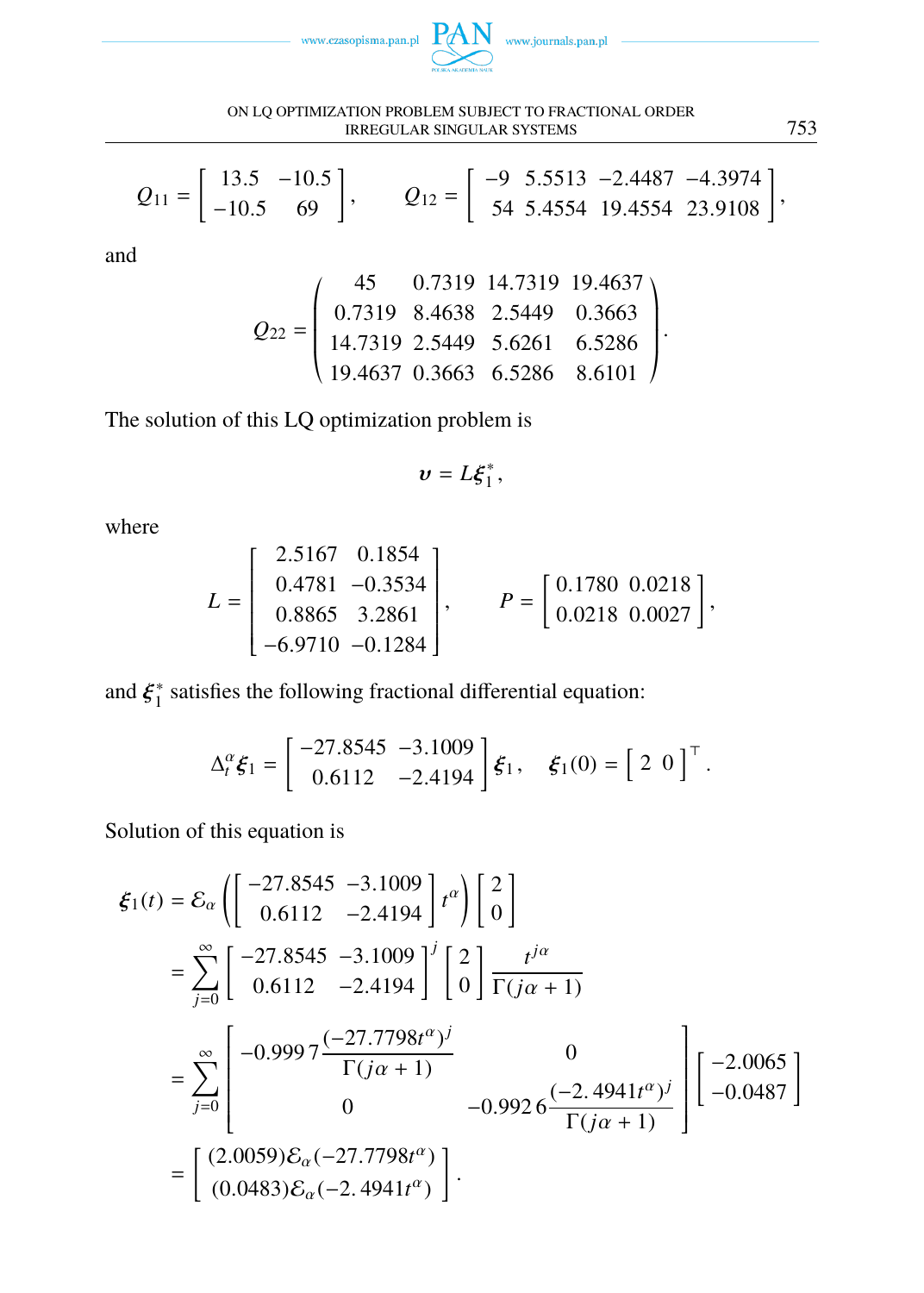



$$
Q_{11} = \begin{bmatrix} 13.5 & -10.5 \\ -10.5 & 69 \end{bmatrix}, \qquad Q_{12} = \begin{bmatrix} -9 & 5.5513 & -2.4487 & -4.3974 \\ 54 & 5.4554 & 19.4554 & 23.9108 \end{bmatrix},
$$

and

$$
Q_{22} = \left(\begin{array}{ccc} 45 & 0.7319 & 14.7319 & 19.4637 \\ 0.7319 & 8.4638 & 2.5449 & 0.3663 \\ 14.7319 & 2.5449 & 5.6261 & 6.5286 \\ 19.4637 & 0.3663 & 6.5286 & 8.6101 \end{array}\right)
$$

The solution of this LQ optimization problem is

$$
v=L\xi_1^*,
$$

where

$$
L = \begin{bmatrix} 2.5167 & 0.1854 \\ 0.4781 & -0.3534 \\ 0.8865 & 3.2861 \\ -6.9710 & -0.1284 \end{bmatrix}, \qquad P = \begin{bmatrix} 0.1780 & 0.0218 \\ 0.0218 & 0.0027 \end{bmatrix},
$$

and  $\xi_1^*$  $i<sub>1</sub><sup>*</sup>$  satisfies the following fractional differential equation:

$$
\Delta_t^{\alpha} \xi_1 = \begin{bmatrix} -27.8545 & -3.1009 \\ 0.6112 & -2.4194 \end{bmatrix} \xi_1, \quad \xi_1(0) = \begin{bmatrix} 2 & 0 \end{bmatrix}^\top.
$$

Solution of this equation is

$$
\xi_1(t) = \mathcal{E}_{\alpha} \left( \begin{bmatrix} -27.8545 & -3.1009 \\ 0.6112 & -2.4194 \end{bmatrix} t^{\alpha} \right) \begin{bmatrix} 2 \\ 0 \end{bmatrix}
$$
  
= 
$$
\sum_{j=0}^{\infty} \begin{bmatrix} -27.8545 & -3.1009 \\ 0.6112 & -2.4194 \end{bmatrix}^j \begin{bmatrix} 2 \\ 0 \end{bmatrix} \frac{t^{j\alpha}}{\Gamma(j\alpha + 1)}
$$
  
= 
$$
\sum_{j=0}^{\infty} \begin{bmatrix} -0.9997 \frac{(-27.7798t^{\alpha})^j}{\Gamma(j\alpha + 1)} & 0 \\ 0 & -0.9926 \frac{(-2.4941t^{\alpha})^j}{\Gamma(j\alpha + 1)} \end{bmatrix} \begin{bmatrix} -2.0065 \\ -0.0487 \end{bmatrix}
$$
  
= 
$$
\begin{bmatrix} (2.0059)\mathcal{E}_{\alpha}(-27.7798t^{\alpha}) \\ (0.0483)\mathcal{E}_{\alpha}(-2.4941t^{\alpha}) \end{bmatrix}.
$$

.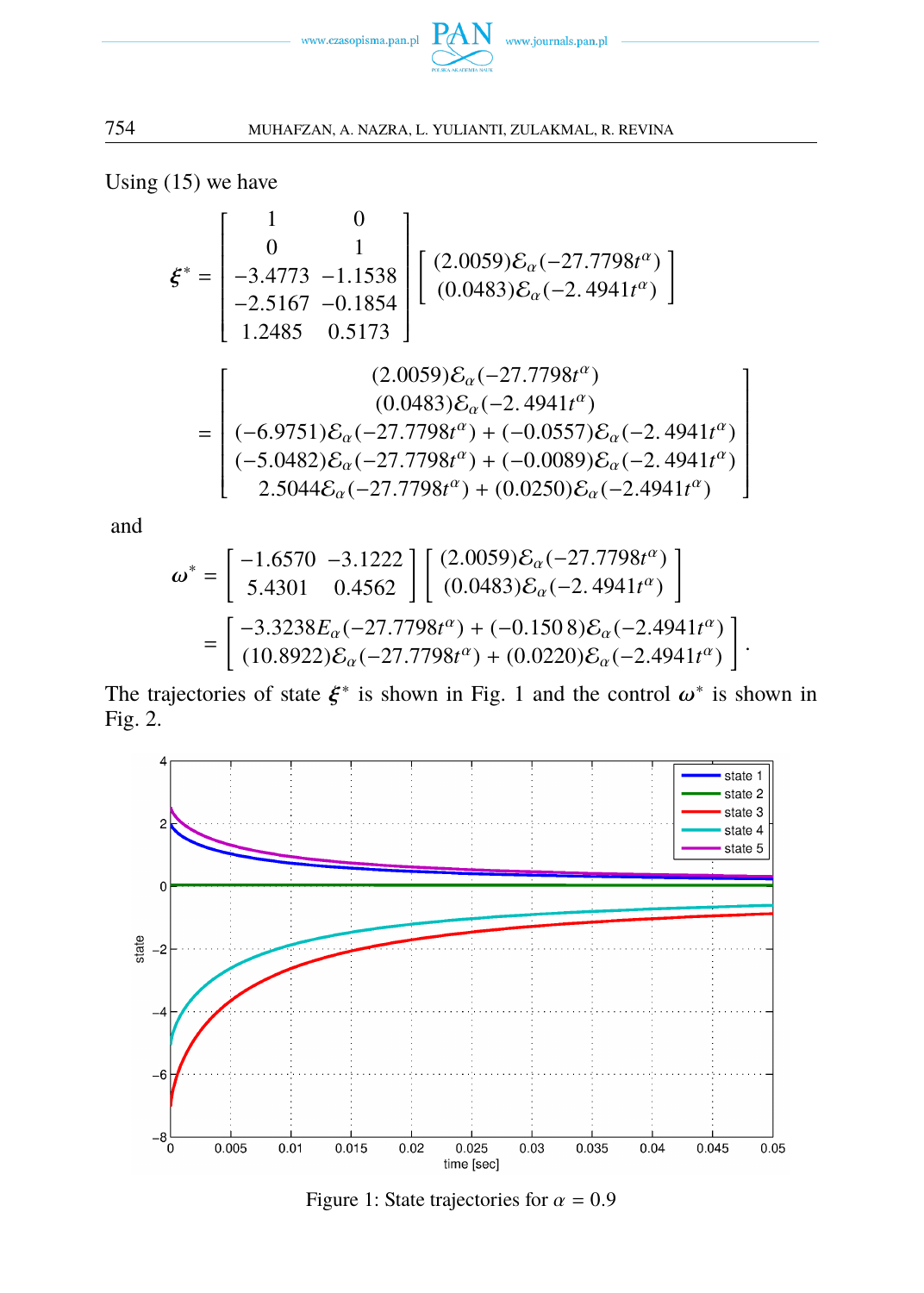

1  $\overline{\phantom{a}}$  $\overline{\phantom{a}}$  $\overline{\phantom{a}}$  $\overline{\phantom{a}}$  $\overline{\phantom{a}}$  $\overline{\phantom{a}}$  $\overline{\phantom{a}}$  $\overline{\phantom{a}}$  $\overline{\phantom{a}}$ J  $\overline{a}$ 

754 MUHAFZAN, A. NAZRA, L. YULIANTI, ZULAKMAL, R. REVINA

Using (15) we have

$$
\xi^* = \begin{bmatrix} 1 & 0 \\ 0 & 1 \\ -3.4773 & -1.1538 \\ -2.5167 & -0.1854 \\ 1.2485 & 0.5173 \end{bmatrix} \begin{bmatrix} (2.0059)\mathcal{E}_{\alpha}(-27.7798t^{\alpha}) \\ (0.0483)\mathcal{E}_{\alpha}(-2.4941t^{\alpha}) \end{bmatrix}
$$

$$
= \begin{bmatrix} (2.0059)\mathcal{E}_{\alpha}(-27.7798t^{\alpha}) \\ (0.0483)\mathcal{E}_{\alpha}(-27.7798t^{\alpha}) \\ (-6.9751)\mathcal{E}_{\alpha}(-27.7798t^{\alpha}) + (-0.0557)\mathcal{E}_{\alpha}(-2.4941t^{\alpha}) \\ 2.5044\mathcal{E}_{\alpha}(-27.7798t^{\alpha}) + (0.0250)\mathcal{E}_{\alpha}(-2.4941t^{\alpha}) \end{bmatrix}
$$

and

$$
\omega^* = \begin{bmatrix} -1.6570 & -3.1222 \\ 5.4301 & 0.4562 \end{bmatrix} \begin{bmatrix} (2.0059)\mathcal{E}_{\alpha}(-27.7798t^{\alpha}) \\ (0.0483)\mathcal{E}_{\alpha}(-2.4941t^{\alpha}) \end{bmatrix}
$$

$$
= \begin{bmatrix} -3.3238E_{\alpha}(-27.7798t^{\alpha}) + (-0.1508)\mathcal{E}_{\alpha}(-2.4941t^{\alpha}) \\ (10.8922)\mathcal{E}_{\alpha}(-27.7798t^{\alpha}) + (0.0220)\mathcal{E}_{\alpha}(-2.4941t^{\alpha}) \end{bmatrix}.
$$

The trajectories of state  $\xi^*$  is shown in Fig. 1 and the control  $\omega^*$  is shown in Fig. 2.



Figure 1: State trajectories for  $\alpha = 0.9$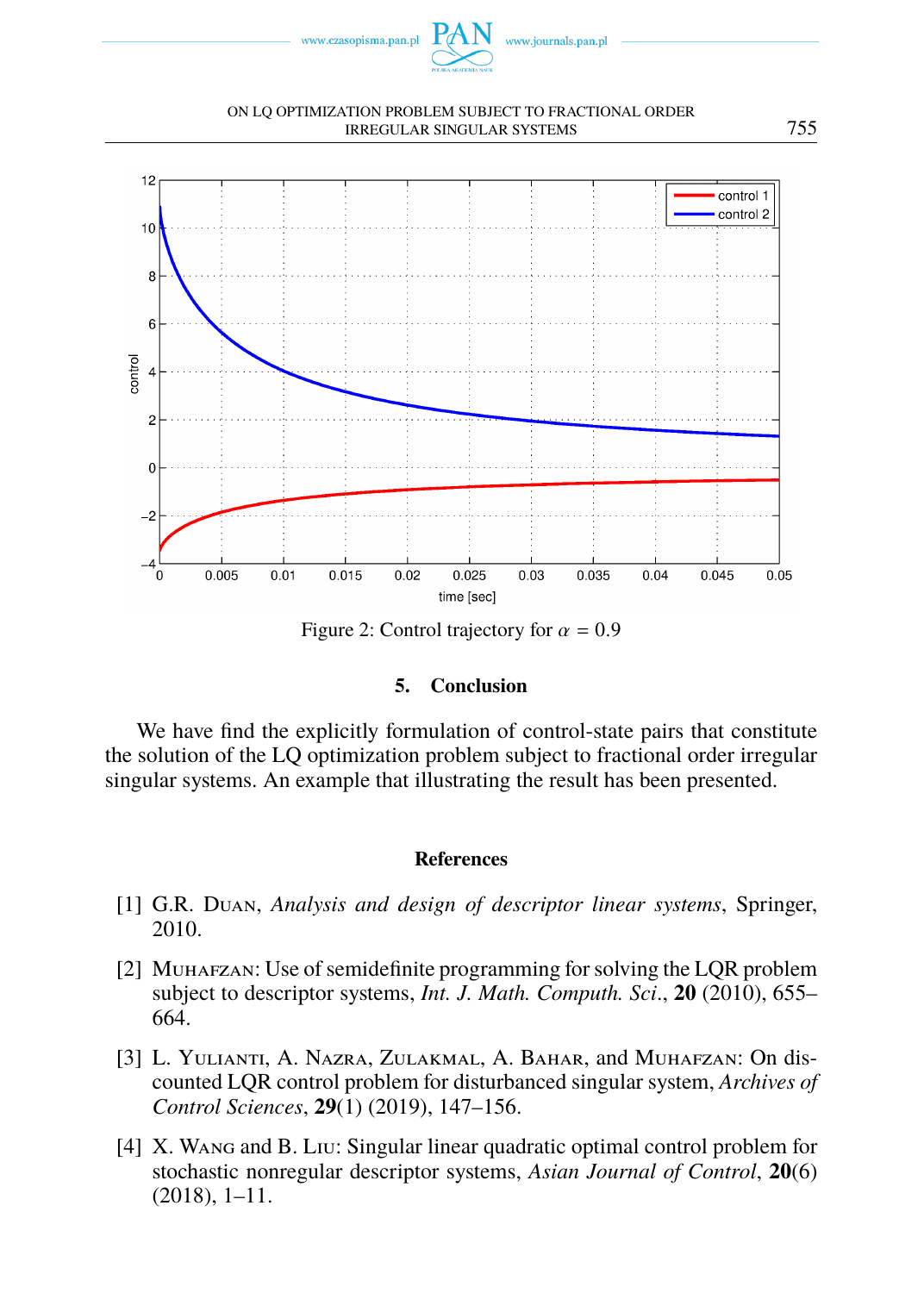

#### ON LQ OPTIMIZATION PROBLEM SUBJECT TO FRACTIONAL ORDER IRREGULAR SINGULAR SYSTEMS 755



Figure 2: Control trajectory for  $\alpha = 0.9$ 

# **5. Conclusion**

We have find the explicitly formulation of control-state pairs that constitute the solution of the LQ optimization problem subject to fractional order irregular singular systems. An example that illustrating the result has been presented.

## **References**

- [1] G.R. Duan, *Analysis and design of descriptor linear systems*, Springer, 2010.
- <span id="page-10-0"></span>[2] Muhafzan: Use of semidefinite programming for solving the LQR problem subject to descriptor systems, *Int. J. Math. Computh. Sci*., **20** (2010), 655– 664.
- [3] L. YULIANTI, A. NAZRA, ZULAKMAL, A. BAHAR, and MUHAFZAN: On discounted LQR control problem for disturbanced singular system, *Archives of Control Sciences*, **29**(1) (2019), 147–156.
- [4] X. Wang and B. Liu: Singular linear quadratic optimal control problem for stochastic nonregular descriptor systems, *Asian Journal of Control*, **20**(6) (2018), 1–11.